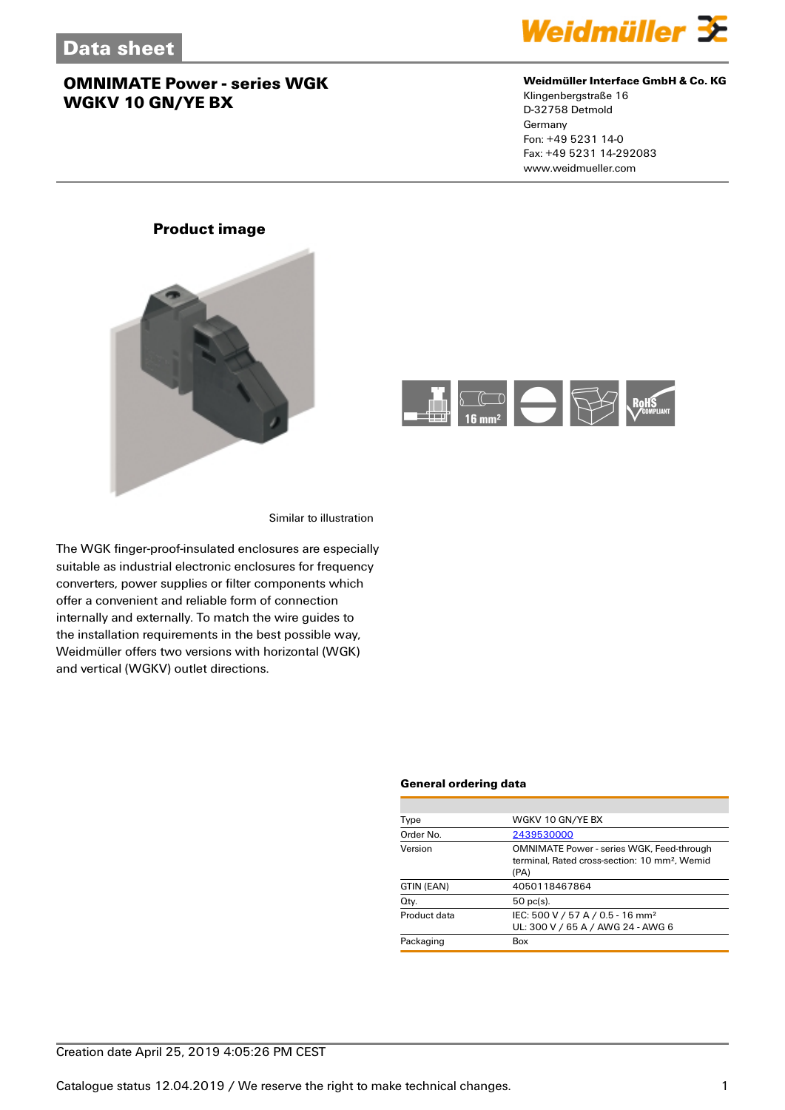

#### **Weidmüller Interface GmbH & Co. KG**

Klingenbergstraße 16 D-32758 Detmold Germany Fon: +49 5231 14-0 Fax: +49 5231 14-292083 www.weidmueller.com

## **Product image**



Similar to illustration

The WGK finger-proof-insulated enclosures are especially suitable as industrial electronic enclosures for frequency converters, power supplies or filter components which offer a convenient and reliable form of connection internally and externally. To match the wire guides to the installation requirements in the best possible way, Weidmüller offers two versions with horizontal (WGK) and vertical (WGKV) outlet directions.

#### **General ordering data**

| Type         | WGKV 10 GN/YE BX                                                                                                      |
|--------------|-----------------------------------------------------------------------------------------------------------------------|
| Order No.    | 2439530000                                                                                                            |
| Version      | <b>OMNIMATE Power - series WGK, Feed-through</b><br>terminal. Rated cross-section: 10 mm <sup>2</sup> . Wemid<br>(PA) |
| GTIN (EAN)   | 4050118467864                                                                                                         |
| Qty.         | $50$ pc(s).                                                                                                           |
| Product data | IEC: 500 V / 57 A / 0.5 - 16 mm <sup>2</sup><br>UL: 300 V / 65 A / AWG 24 - AWG 6                                     |
| Packaging    | Box                                                                                                                   |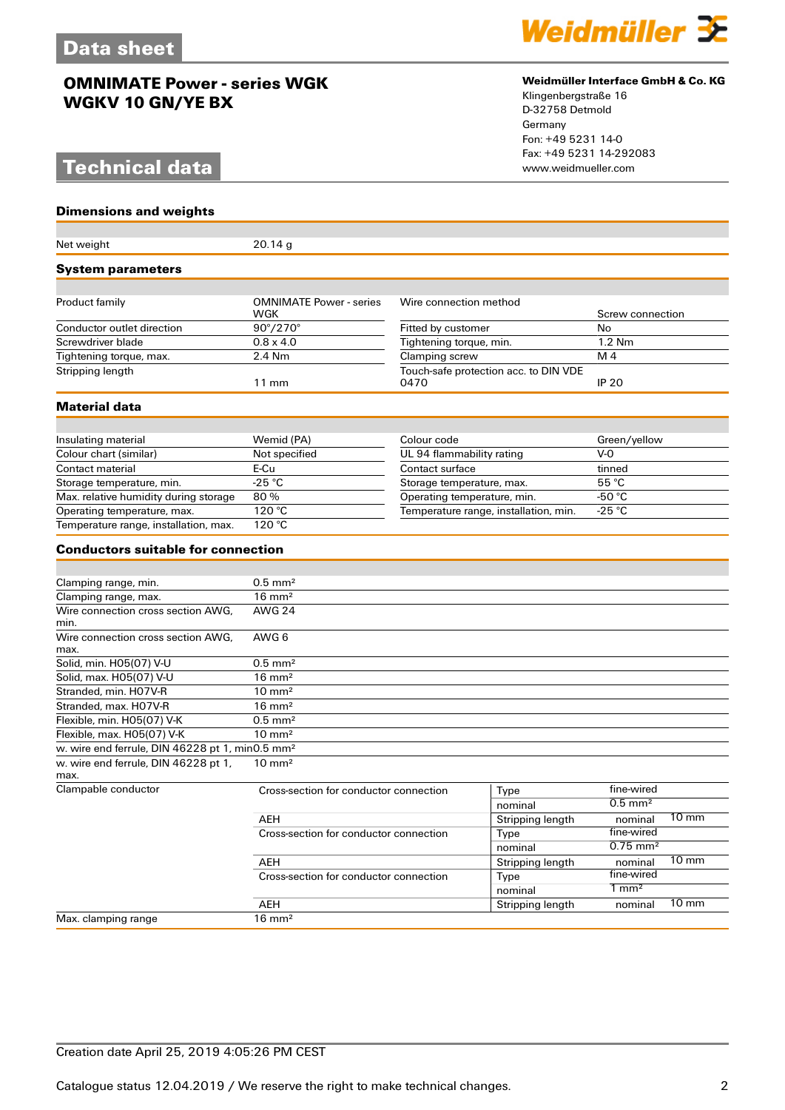# **Technical data**

#### **Dimensions and weights**

| Net weight                                                  | 20.14g                                       |                                              |                  |                        |                 |
|-------------------------------------------------------------|----------------------------------------------|----------------------------------------------|------------------|------------------------|-----------------|
| <b>System parameters</b>                                    |                                              |                                              |                  |                        |                 |
|                                                             |                                              |                                              |                  |                        |                 |
| Product family                                              | <b>OMNIMATE Power - series</b><br><b>WGK</b> | Wire connection method<br>Fitted by customer |                  | Screw connection       |                 |
| Conductor outlet direction                                  | 90°/270°                                     |                                              |                  | No                     |                 |
| Screwdriver blade                                           | $0.8 \times 4.0$                             | Tightening torque, min.                      |                  | 1.2 Nm                 |                 |
| Tightening torque, max.                                     | 2.4 Nm                                       | Clamping screw                               |                  | M <sub>4</sub>         |                 |
| Stripping length                                            | Touch-safe protection acc. to DIN VDE        |                                              |                  |                        |                 |
|                                                             | $11 \text{ mm}$                              | 0470                                         |                  | <b>IP 20</b>           |                 |
| <b>Material data</b>                                        |                                              |                                              |                  |                        |                 |
|                                                             |                                              |                                              |                  |                        |                 |
| Insulating material                                         | Wemid (PA)<br>Colour code                    |                                              | Green/yellow     |                        |                 |
| Colour chart (similar)                                      | Not specified                                | UL 94 flammability rating                    |                  | $V-0$                  |                 |
| Contact material                                            | E-Cu                                         | Contact surface                              |                  | tinned                 |                 |
| Storage temperature, min.                                   | $-25$ °C                                     | Storage temperature, max.                    |                  | 55 °C                  |                 |
| Max. relative humidity during storage                       | 80%                                          | Operating temperature, min.                  |                  | -50 °C                 |                 |
| Operating temperature, max.                                 | 120 °C                                       | Temperature range, installation, min.        |                  | $-25$ °C               |                 |
| Temperature range, installation, max.                       | $\overline{120}$ °C                          |                                              |                  |                        |                 |
| <b>Conductors suitable for connection</b>                   |                                              |                                              |                  |                        |                 |
|                                                             |                                              |                                              |                  |                        |                 |
| Clamping range, min.                                        | $0.5$ mm <sup>2</sup>                        |                                              |                  |                        |                 |
| Clamping range, max.                                        |                                              | $16 \text{ mm}^2$                            |                  |                        |                 |
| Wire connection cross section AWG,<br>min.                  | <b>AWG 24</b>                                |                                              |                  |                        |                 |
| Wire connection cross section AWG.<br>max.                  | AWG 6                                        |                                              |                  |                        |                 |
| Solid, min. H05(07) V-U                                     | $0.5$ mm <sup>2</sup>                        |                                              |                  |                        |                 |
| Solid, max. H05(07) V-U                                     | $16 \text{ mm}^2$                            |                                              |                  |                        |                 |
| Stranded, min. H07V-R                                       | $10 \text{ mm}^2$                            |                                              |                  |                        |                 |
| Stranded, max. H07V-R                                       | $16 \text{ mm}^2$                            |                                              |                  |                        |                 |
| Flexible, min. H05(07) V-K                                  | $0.5$ mm <sup>2</sup>                        |                                              |                  |                        |                 |
| Flexible, max. H05(07) V-K                                  | $10 \text{ mm}^2$                            |                                              |                  |                        |                 |
| w. wire end ferrule, DIN 46228 pt 1, min0.5 mm <sup>2</sup> |                                              |                                              |                  |                        |                 |
| w. wire end ferrule, DIN 46228 pt 1,<br>max.                | $10 \text{ mm}^2$                            |                                              |                  |                        |                 |
| Clampable conductor                                         | Cross-section for conductor connection       |                                              | Type             | fine-wired             |                 |
|                                                             |                                              |                                              | nominal          | $0.5$ mm <sup>2</sup>  |                 |
|                                                             | AEH                                          |                                              | Stripping length | nominal                | $10 \text{ mm}$ |
|                                                             | Cross-section for conductor connection       |                                              | Type             | fine-wired             |                 |
|                                                             |                                              |                                              | nominal          | $0.75$ mm <sup>2</sup> |                 |
|                                                             | AEH                                          |                                              |                  | nominal                | $10 \text{ mm}$ |
|                                                             | Cross-section for conductor connection       |                                              | Type             | fine-wired             |                 |
|                                                             |                                              |                                              | nominal          | $1 \text{ mm}^2$       |                 |
|                                                             | AEH                                          |                                              | Stripping length | nominal                | $10 \text{ mm}$ |
| Max. clamping range                                         | $16 \text{ mm}^2$                            |                                              |                  |                        |                 |



#### **Weidmüller Interface GmbH & Co. KG**

Klingenbergstraße 16 D-32758 Detmold Germany Fon: +49 5231 14-0 Fax: +49 5231 14-292083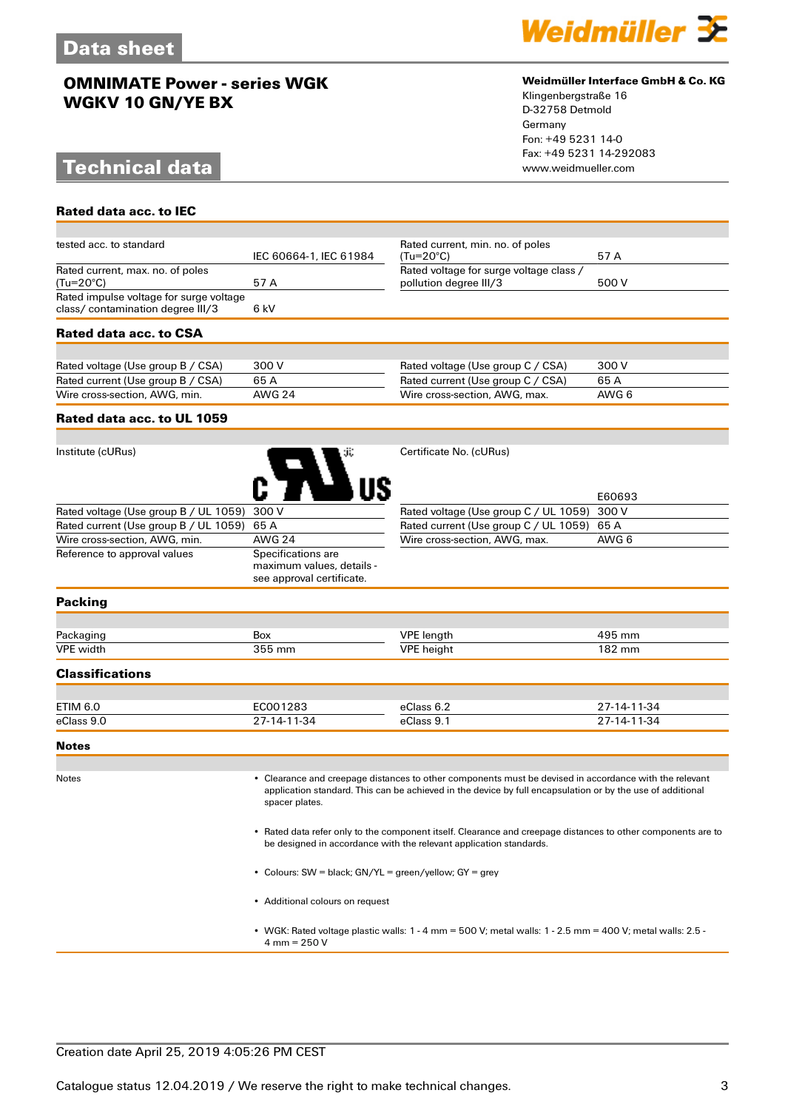## **Technical data**

**Rated data acc. to IEC**



#### **Weidmüller Interface GmbH & Co. KG**

Klingenbergstraße 16 D-32758 Detmold Germany Fon: +49 5231 14-0 Fax: +49 5231 14-292083

| tested acc. to standard                       |                                                                              | Rated current, min. no. of poles                                  |             |
|-----------------------------------------------|------------------------------------------------------------------------------|-------------------------------------------------------------------|-------------|
|                                               | IEC 60664-1, IEC 61984                                                       | (Tu=20°C)                                                         | 57 A        |
| Rated current, max. no. of poles<br>(Tu=20°C) | 57A                                                                          | Rated voltage for surge voltage class /<br>pollution degree III/3 | 500 V       |
| Rated impulse voltage for surge voltage       |                                                                              |                                                                   |             |
| class/contamination degree III/3              | 6 kV                                                                         |                                                                   |             |
| Rated data acc. to CSA                        |                                                                              |                                                                   |             |
|                                               |                                                                              |                                                                   |             |
| Rated voltage (Use group B / CSA)             | 300 V                                                                        | Rated voltage (Use group C / CSA)                                 | 300 V       |
| Rated current (Use group B / CSA)             | 65A                                                                          | Rated current (Use group C / CSA)                                 | 65A         |
| Wire cross-section, AWG, min.                 | <b>AWG 24</b>                                                                | Wire cross-section, AWG, max.                                     | AWG 6       |
| Rated data acc. to UL 1059                    |                                                                              |                                                                   |             |
|                                               |                                                                              |                                                                   |             |
| Institute (cURus)                             |                                                                              | Certificate No. (cURus)                                           |             |
|                                               |                                                                              |                                                                   | E60693      |
| Rated voltage (Use group B / UL 1059)         | 300 V                                                                        | Rated voltage (Use group C / UL 1059)                             | 300 V       |
| Rated current (Use group B / UL 1059)         | 65 A                                                                         | Rated current (Use group C / UL 1059)                             | 65 A        |
| Wire cross-section, AWG, min.                 | <b>AWG 24</b>                                                                | Wire cross-section, AWG, max.                                     | AWG 6       |
| Reference to approval values                  | Specifications are<br>maximum values, details -<br>see approval certificate. |                                                                   |             |
| <b>Packing</b>                                |                                                                              |                                                                   |             |
|                                               |                                                                              |                                                                   |             |
| Packaging                                     | <b>Box</b>                                                                   | <b>VPE</b> length                                                 | 495 mm      |
| <b>VPE</b> width                              | 355 mm                                                                       | <b>VPE</b> height                                                 | 182 mm      |
| <b>Classifications</b>                        |                                                                              |                                                                   |             |
|                                               |                                                                              |                                                                   |             |
| <b>ETIM 6.0</b>                               | EC001283                                                                     | eClass 6.2                                                        | 27-14-11-34 |
| eClass 9.0                                    | 27-14-11-34                                                                  | eClass 9.1                                                        | 27-14-11-34 |

**Notes**

Notes • Clearance and creepage distances to other components must be devised in accordance with the relevant application standard. This can be achieved in the device by full encapsulation or by the use of additional spacer plates.

> • Rated data refer only to the component itself. Clearance and creepage distances to other components are to be designed in accordance with the relevant application standards.

• Colours: SW = black; GN/YL = green/yellow; GY = grey

• Additional colours on request

• WGK: Rated voltage plastic walls: 1 - 4 mm = 500 V; metal walls: 1 - 2.5 mm = 400 V; metal walls: 2.5 - 4 mm = 250 V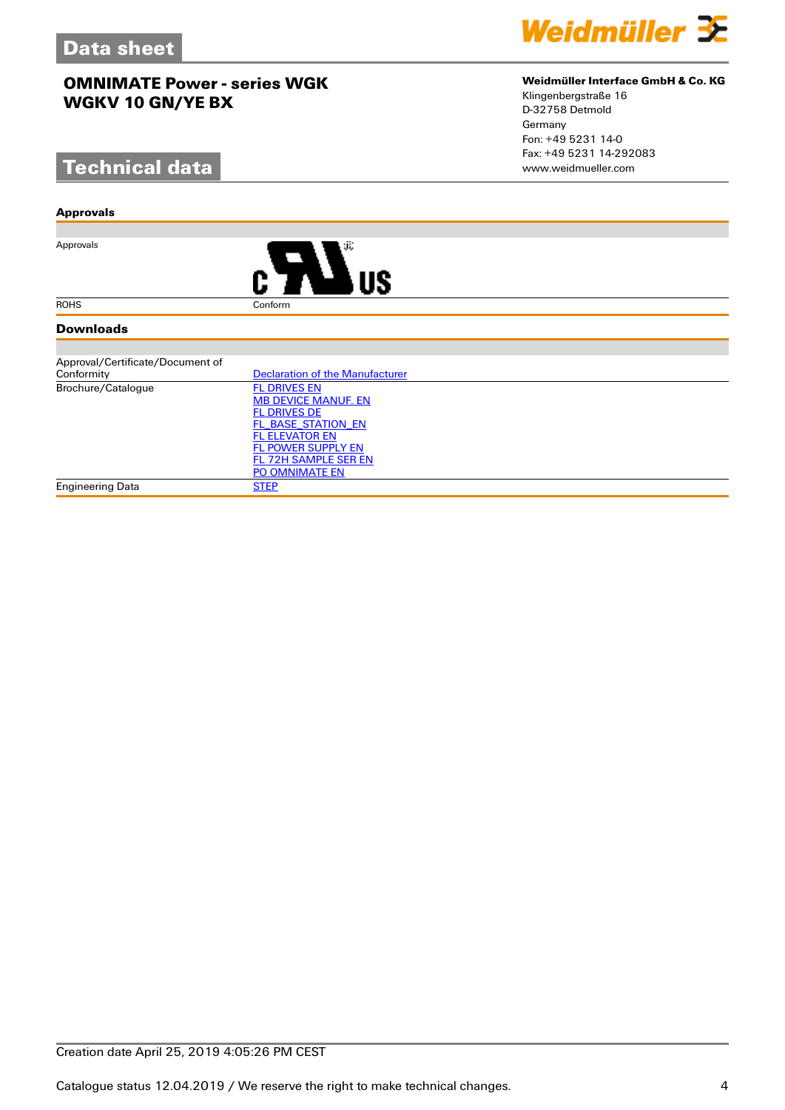# **Technical data**

#### **Approvals**

Approvals



#### **Downloads**

| Approval/Certificate/Document of |                                        |
|----------------------------------|----------------------------------------|
| Conformity                       | <b>Declaration of the Manufacturer</b> |
| Brochure/Catalogue               | <b>FL DRIVES EN</b>                    |
|                                  | <b>MB DEVICE MANUF. EN</b>             |
|                                  | <b>FL DRIVES DE</b>                    |
|                                  | FL BASE STATION EN                     |
|                                  | <b>FL ELEVATOR EN</b>                  |
|                                  | <b>FL POWER SUPPLY EN</b>              |
|                                  | FL 72H SAMPLE SER EN                   |
|                                  | <b>PO OMNIMATE EN</b>                  |
| Engineering Data                 | <b>STEP</b>                            |

Weidmüller 3E

### Klingenbergstraße 16 D-32758 Detmold Germany Fon: +49 5231 14-0 Fax: +49 5231 14-292083